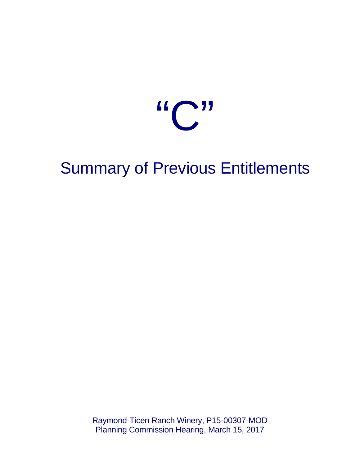

## Summary of Previous Entitlements

Raymond-Ticen Ranch Winery, P15-00307-MOD Planning Commission Hearing, March 15, 2017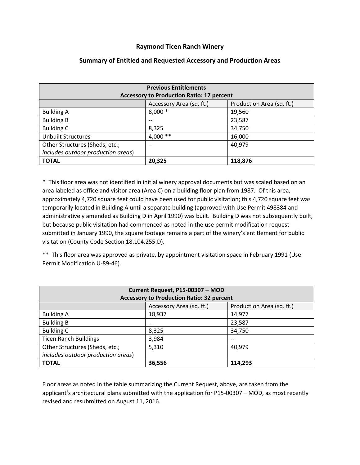## **Raymond Ticen Ranch Winery**

| <b>Previous Entitlements</b><br><b>Accessory to Production Ratio: 17 percent</b> |                          |                           |  |  |
|----------------------------------------------------------------------------------|--------------------------|---------------------------|--|--|
|                                                                                  | Accessory Area (sq. ft.) | Production Area (sq. ft.) |  |  |
| <b>Building A</b>                                                                | $8,000*$                 | 19,560                    |  |  |
| <b>Building B</b>                                                                | --                       | 23,587                    |  |  |
| <b>Building C</b>                                                                | 8,325                    | 34,750                    |  |  |
| <b>Unbuilt Structures</b>                                                        | $4,000**$                | 16,000                    |  |  |
| Other Structures (Sheds, etc.;<br>includes outdoor production areas)             | $- -$                    | 40,979                    |  |  |
| <b>TOTAL</b>                                                                     | 20,325                   | 118,876                   |  |  |

## **Summary of Entitled and Requested Accessory and Production Areas**

\* This floor area was not identified in initial winery approval documents but was scaled based on an area labeled as office and visitor area (Area C) on a building floor plan from 1987. Of this area, approximately 4,720 square feet could have been used for public visitation; this 4,720 square feet was temporarily located in Building A until a separate building (approved with Use Permit 498384 and administratively amended as Building D in April 1990) was built. Building D was not subsequently built, but because public visitation had commenced as noted in the use permit modification request submitted in January 1990, the square footage remains a part of the winery's entitlement for public visitation (County Code Section 18.104.255.D).

\*\* This floor area was approved as private, by appointment visitation space in February 1991 (Use Permit Modification U-89-46).

| Current Request, P15-00307 - MOD                 |                          |                           |  |  |
|--------------------------------------------------|--------------------------|---------------------------|--|--|
| <b>Accessory to Production Ratio: 32 percent</b> |                          |                           |  |  |
|                                                  | Accessory Area (sq. ft.) | Production Area (sq. ft.) |  |  |
| <b>Building A</b>                                | 18,937                   | 14,977                    |  |  |
| <b>Building B</b>                                | $- -$                    | 23,587                    |  |  |
| <b>Building C</b>                                | 8,325                    | 34,750                    |  |  |
| <b>Ticen Ranch Buildings</b>                     | 3,984                    | $- -$                     |  |  |
| Other Structures (Sheds, etc.;                   | 5,310                    | 40,979                    |  |  |
| includes outdoor production areas)               |                          |                           |  |  |
| <b>TOTAL</b>                                     | 36,556                   | 114.293                   |  |  |

Floor areas as noted in the table summarizing the Current Request, above, are taken from the applicant's architectural plans submitted with the application for P15-00307 – MOD, as most recently revised and resubmitted on August 11, 2016.